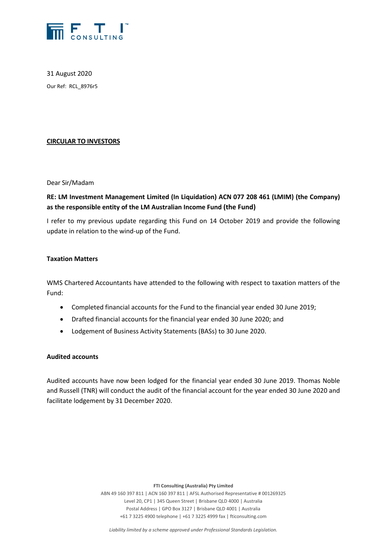

31 August 2020 Our Ref: RCL\_8976r5

## **CIRCULAR TO INVESTORS**

Dear Sir/Madam

# **RE: LM Investment Management Limited (In Liquidation) ACN 077 208 461 (LMIM) (the Company) as the responsible entity of the LM Australian Income Fund (the Fund)**

I refer to my previous update regarding this Fund on 14 October 2019 and provide the following update in relation to the wind-up of the Fund.

### **Taxation Matters**

WMS Chartered Accountants have attended to the following with respect to taxation matters of the Fund:

- Completed financial accounts for the Fund to the financial year ended 30 June 2019;
- Drafted financial accounts for the financial year ended 30 June 2020; and
- Lodgement of Business Activity Statements (BASs) to 30 June 2020.

### **Audited accounts**

Audited accounts have now been lodged for the financial year ended 30 June 2019. Thomas Noble and Russell (TNR) will conduct the audit of the financial account for the year ended 30 June 2020 and facilitate lodgement by 31 December 2020.

**FTI Consulting (Australia) Pty Limited**

ABN 49 160 397 811 | ACN 160 397 811 | AFSL Authorised Representative # 001269325 Level 20, CP1 | 345 Queen Street | Brisbane QLD 4000 | Australia Postal Address | GPO Box 3127 | Brisbane QLD 4001 | Australia +61 7 3225 4900 telephone | +61 7 3225 4999 fax | fticonsulting.com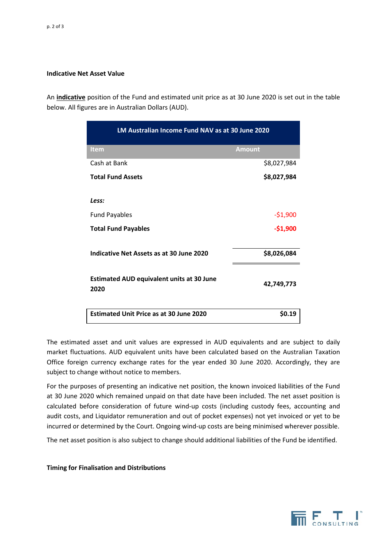### **Indicative Net Asset Value**

An **indicative** position of the Fund and estimated unit price as at 30 June 2020 is set out in the table below. All figures are in Australian Dollars (AUD).

| LM Australian Income Fund NAV as at 30 June 2020         |               |
|----------------------------------------------------------|---------------|
| <b>Item</b>                                              | <b>Amount</b> |
| Cash at Bank                                             | \$8,027,984   |
| <b>Total Fund Assets</b>                                 | \$8,027,984   |
| Less:                                                    |               |
| <b>Fund Payables</b>                                     | $-51,900$     |
| <b>Total Fund Payables</b>                               | $-$1,900$     |
| Indicative Net Assets as at 30 June 2020                 | \$8,026,084   |
| <b>Estimated AUD equivalent units at 30 June</b><br>2020 | 42,749,773    |
| <b>Estimated Unit Price as at 30 June 2020</b>           | <b>SO.19</b>  |

The estimated asset and unit values are expressed in AUD equivalents and are subject to daily market fluctuations. AUD equivalent units have been calculated based on the Australian Taxation Office foreign currency exchange rates for the year ended 30 June 2020. Accordingly, they are subject to change without notice to members.

For the purposes of presenting an indicative net position, the known invoiced liabilities of the Fund at 30 June 2020 which remained unpaid on that date have been included. The net asset position is calculated before consideration of future wind-up costs (including custody fees, accounting and audit costs, and Liquidator remuneration and out of pocket expenses) not yet invoiced or yet to be incurred or determined by the Court. Ongoing wind-up costs are being minimised wherever possible.

The net asset position is also subject to change should additional liabilities of the Fund be identified.

### **Timing for Finalisation and Distributions**